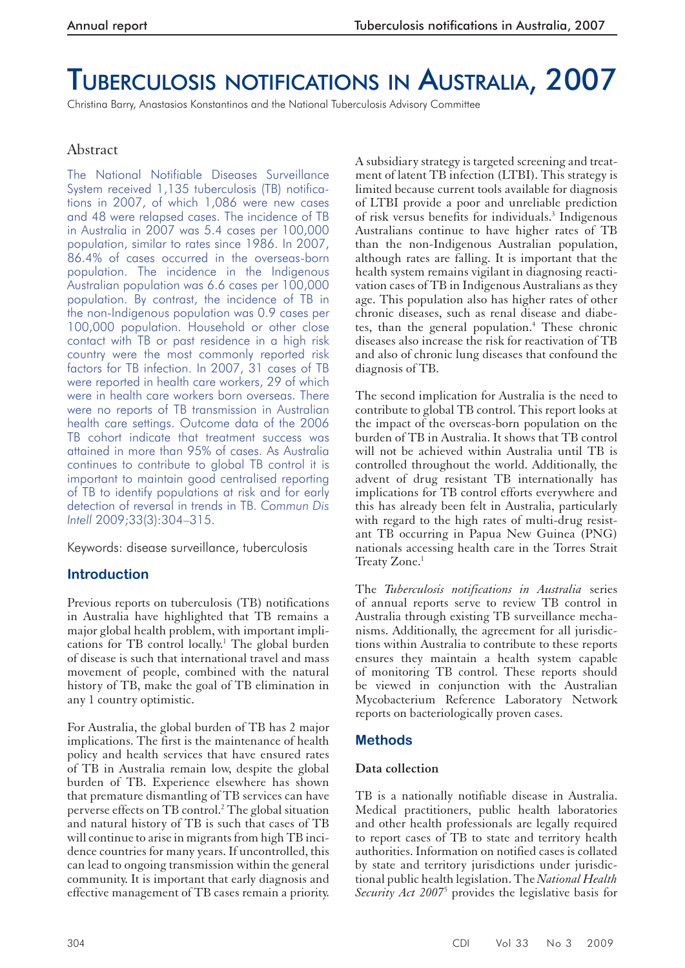# TUBERCULOSIS NOTIFICATIONS IN AUSTRALIA, 2007

Christina Barry, Anastasios Konstantinos and the National Tuberculosis Advisory Committee

# Abstract

The National Notifiable Diseases Surveillance System received 1,135 tuberculosis (TB) notifications in 2007, of which 1,086 were new cases and 48 were relapsed cases. The incidence of TB in Australia in 2007 was 5.4 cases per 100,000 population, similar to rates since 1986. In 2007, 86.4% of cases occurred in the overseas-born population. The incidence in the Indigenous Australian population was 6.6 cases per 100,000 population. By contrast, the incidence of TB in the non-Indigenous population was 0.9 cases per 100,000 population. Household or other close contact with TB or past residence in a high risk country were the most commonly reported risk factors for TB infection. In 2007, 31 cases of TB were reported in health care workers, 29 of which were in health care workers born overseas. There were no reports of TB transmission in Australian health care settings. Outcome data of the 2006 TB cohort indicate that treatment success was attained in more than 95% of cases. As Australia continues to contribute to global TB control it is important to maintain good centralised reporting of TB to identify populations at risk and for early detection of reversal in trends in TB. *Commun Dis Intell* 2009;33(3):304–315.

Keywords: disease surveillance, tuberculosis

# **Introduction**

Previous reports on tuberculosis (TB) notifications in Australia have highlighted that TB remains a major global health problem, with important implications for TB control locally.<sup>1</sup> The global burden of disease is such that international travel and mass movement of people, combined with the natural history of TB, make the goal of TB elimination in any 1 country optimistic.

For Australia, the global burden of TB has 2 major implications. The first is the maintenance of health policy and health services that have ensured rates of TB in Australia remain low, despite the global burden of TB. Experience elsewhere has shown that premature dismantling of TB services can have perverse effects on TB control.<sup>2</sup> The global situation and natural history of TB is such that cases of TB will continue to arise in migrants from high TB incidence countries for many years. If uncontrolled, this can lead to ongoing transmission within the general community. It is important that early diagnosis and effective management of TB cases remain a priority.

A subsidiary strategy is targeted screening and treatment of latent TB infection (LTBI). This strategy is limited because current tools available for diagnosis of LTBI provide a poor and unreliable prediction of risk versus benefits for individuals.<sup>3</sup> Indigenous Australians continue to have higher rates of TB than the non-Indigenous Australian population, although rates are falling. It is important that the health system remains vigilant in diagnosing reactivation cases of TB in Indigenous Australians as they age. This population also has higher rates of other chronic diseases, such as renal disease and diabetes, than the general population.<sup>4</sup> These chronic diseases also increase the risk for reactivation of TB and also of chronic lung diseases that confound the diagnosis of TB.

The second implication for Australia is the need to contribute to global TB control. This report looks at the impact of the overseas-born population on the burden of TB in Australia. It shows that TB control will not be achieved within Australia until TB is controlled throughout the world. Additionally, the advent of drug resistant TB internationally has implications for TB control efforts everywhere and this has already been felt in Australia, particularly with regard to the high rates of multi-drug resistant TB occurring in Papua New Guinea (PNG) nationals accessing health care in the Torres Strait Treaty Zone.<sup>1</sup>

The *Tuberculosis notifications in Australia* series of annual reports serve to review TB control in Australia through existing TB surveillance mechanisms. Additionally, the agreement for all jurisdictions within Australia to contribute to these reports ensures they maintain a health system capable of monitoring TB control. These reports should be viewed in conjunction with the Australian Mycobacterium Reference Laboratory Network reports on bacteriologically proven cases.

# **Methods**

# **Data collection**

TB is a nationally notifiable disease in Australia. Medical practitioners, public health laboratories and other health professionals are legally required to report cases of TB to state and territory health authorities. Information on notified cases is collated by state and territory jurisdictions under jurisdictional public health legislation. The *National Health*  Security Act 2007<sup>5</sup> provides the legislative basis for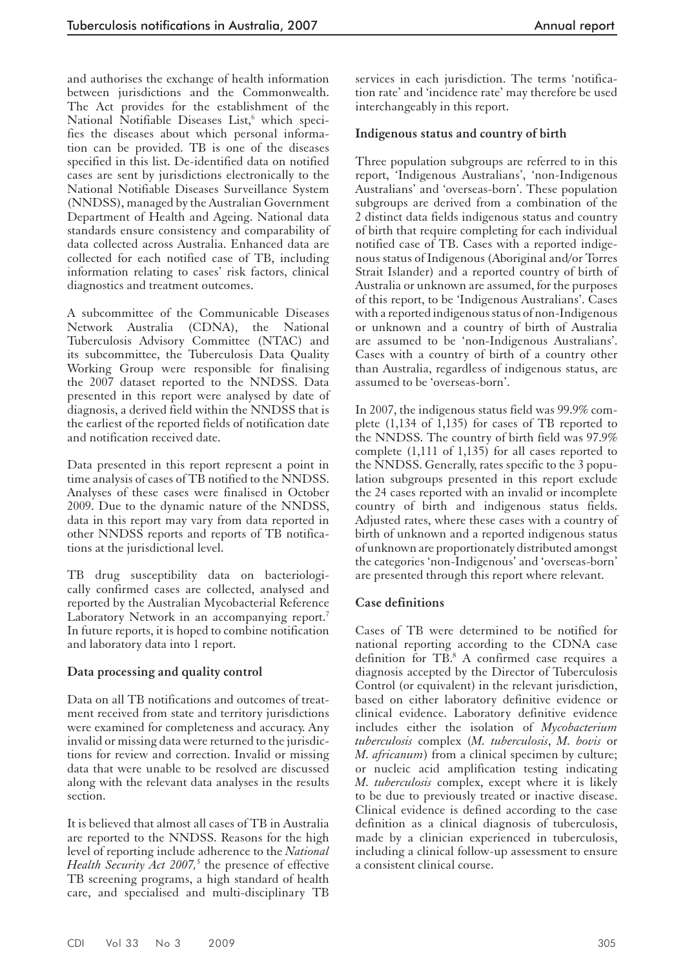and authorises the exchange of health information between jurisdictions and the Commonwealth. The Act provides for the establishment of the National Notifiable Diseases List,<sup>6</sup> which specifies the diseases about which personal information can be provided. TB is one of the diseases specified in this list. De-identified data on notified cases are sent by jurisdictions electronically to the National Notifiable Diseases Surveillance System (NNDSS), managed by the Australian Government Department of Health and Ageing. National data standards ensure consistency and comparability of data collected across Australia. Enhanced data are collected for each notified case of TB, including information relating to cases' risk factors, clinical diagnostics and treatment outcomes.

A subcommittee of the Communicable Diseases Network Australia (CDNA), the National Tuberculosis Advisory Committee (NTAC) and its subcommittee, the Tuberculosis Data Quality Working Group were responsible for finalising the 2007 dataset reported to the NNDSS. Data presented in this report were analysed by date of diagnosis, a derived field within the NNDSS that is the earliest of the reported fields of notification date and notification received date.

Data presented in this report represent a point in time analysis of cases of TB notified to the NNDSS. Analyses of these cases were finalised in October 2009. Due to the dynamic nature of the NNDSS, data in this report may vary from data reported in other NNDSS reports and reports of TB notifications at the jurisdictional level.

TB drug susceptibility data on bacteriologically confirmed cases are collected, analysed and reported by the Australian Mycobacterial Reference Laboratory Network in an accompanying report.<sup>7</sup> In future reports, it is hoped to combine notification and laboratory data into 1 report.

# **Data processing and quality control**

Data on all TB notifications and outcomes of treatment received from state and territory jurisdictions were examined for completeness and accuracy. Any invalid or missing data were returned to the jurisdictions for review and correction. Invalid or missing data that were unable to be resolved are discussed along with the relevant data analyses in the results section.

It is believed that almost all cases of TB in Australia are reported to the NNDSS. Reasons for the high level of reporting include adherence to the *National*  Health Security Act 2007,<sup>5</sup> the presence of effective TB screening programs, a high standard of health care, and specialised and multi-disciplinary TB

services in each jurisdiction. The terms 'notification rate' and 'incidence rate' may therefore be used interchangeably in this report.

#### **Indigenous status and country of birth**

Three population subgroups are referred to in this report, 'Indigenous Australians', 'non-Indigenous Australians' and 'overseas-born'. These population subgroups are derived from a combination of the 2 distinct data fields indigenous status and country of birth that require completing for each individual notified case of TB. Cases with a reported indigenous status of Indigenous (Aboriginal and/or Torres Strait Islander) and a reported country of birth of Australia or unknown are assumed, for the purposes of this report, to be 'Indigenous Australians'. Cases with a reported indigenous status of non-Indigenous or unknown and a country of birth of Australia are assumed to be 'non-Indigenous Australians'. Cases with a country of birth of a country other than Australia, regardless of indigenous status, are assumed to be 'overseas-born'.

In 2007, the indigenous status field was 99.9% complete (1,134 of 1,135) for cases of TB reported to the NNDSS. The country of birth field was 97.9% complete (1,111 of 1,135) for all cases reported to the NNDSS. Generally, rates specific to the 3 population subgroups presented in this report exclude the 24 cases reported with an invalid or incomplete country of birth and indigenous status fields. Adjusted rates, where these cases with a country of birth of unknown and a reported indigenous status of unknown are proportionately distributed amongst the categories 'non-Indigenous' and 'overseas-born' are presented through this report where relevant.

#### **Case definitions**

Cases of TB were determined to be notified for national reporting according to the CDNA case definition for TB.<sup>8</sup> A confirmed case requires a diagnosis accepted by the Director of Tuberculosis Control (or equivalent) in the relevant jurisdiction, based on either laboratory definitive evidence or clinical evidence. Laboratory definitive evidence includes either the isolation of *Mycobacterium tuberculosis* complex (*M. tuberculosis*, *M. bovis* or *M. africanum*) from a clinical specimen by culture; or nucleic acid amplification testing indicating *M. tuberculosis* complex, except where it is likely to be due to previously treated or inactive disease. Clinical evidence is defined according to the case definition as a clinical diagnosis of tuberculosis, made by a clinician experienced in tuberculosis, including a clinical follow-up assessment to ensure a consistent clinical course.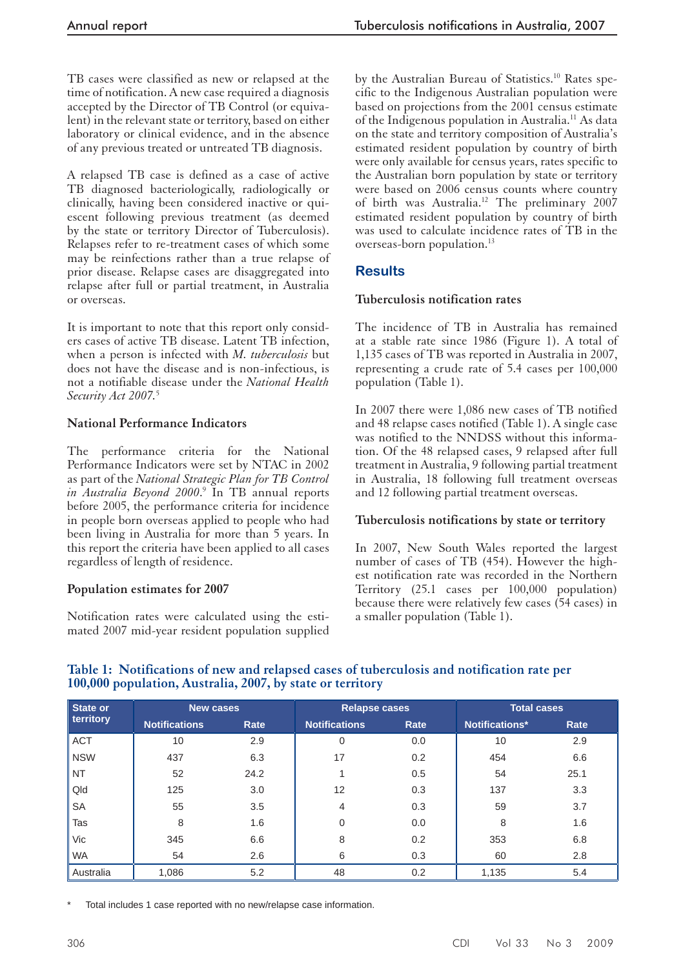TB cases were classified as new or relapsed at the time of notification. A new case required a diagnosis accepted by the Director of TB Control (or equivalent) in the relevant state or territory, based on either laboratory or clinical evidence, and in the absence of any previous treated or untreated TB diagnosis.

A relapsed TB case is defined as a case of active TB diagnosed bacteriologically, radiologically or clinically, having been considered inactive or quiescent following previous treatment (as deemed by the state or territory Director of Tuberculosis). Relapses refer to re-treatment cases of which some may be reinfections rather than a true relapse of prior disease. Relapse cases are disaggregated into relapse after full or partial treatment, in Australia or overseas.

It is important to note that this report only considers cases of active TB disease. Latent TB infection, when a person is infected with *M. tuberculosis* but does not have the disease and is non-infectious, is not a notifiable disease under the *National Health Security Act 2007.*<sup>5</sup>

# **National Performance Indicators**

The performance criteria for the National Performance Indicators were set by NTAC in 2002 as part of the *National Strategic Plan for TB Control in Australia Beyond 2000*. 9 In TB annual reports before 2005, the performance criteria for incidence in people born overseas applied to people who had been living in Australia for more than 5 years. In this report the criteria have been applied to all cases regardless of length of residence.

# **Population estimates for 2007**

Notification rates were calculated using the estimated 2007 mid-year resident population supplied by the Australian Bureau of Statistics.<sup>10</sup> Rates specific to the Indigenous Australian population were based on projections from the 2001 census estimate of the Indigenous population in Australia.11 As data on the state and territory composition of Australia's estimated resident population by country of birth were only available for census years, rates specific to the Australian born population by state or territory were based on 2006 census counts where country of birth was Australia.12 The preliminary 2007 estimated resident population by country of birth was used to calculate incidence rates of TB in the overseas-born population.13

# **Results**

# **Tuberculosis notification rates**

The incidence of TB in Australia has remained at a stable rate since 1986 (Figure 1). A total of 1,135 cases of TB was reported in Australia in 2007, representing a crude rate of 5.4 cases per 100,000 population (Table 1).

 In 2007 there were 1,086 new cases of TB notified and 48 relapse cases notified (Table 1). A single case was notified to the NNDSS without this information. Of the 48 relapsed cases, 9 relapsed after full treatment in Australia, 9 following partial treatment in Australia, 18 following full treatment overseas and 12 following partial treatment overseas.

# **Tuberculosis notifications by state or territory**

In 2007, New South Wales reported the largest number of cases of TB (454). However the highest notification rate was recorded in the Northern Territory (25.1 cases per 100,000 population) because there were relatively few cases (54 cases) in a smaller population (Table 1).

| State or   | <b>New cases</b>     |      | <b>Relapse cases</b> |      | <b>Total cases</b> |      |
|------------|----------------------|------|----------------------|------|--------------------|------|
| territory  | <b>Notifications</b> | Rate | <b>Notifications</b> | Rate | Notifications*     | Rate |
| <b>ACT</b> | 10                   | 2.9  |                      | 0.0  | 10                 | 2.9  |
| <b>NSW</b> | 437                  | 6.3  | 17                   | 0.2  | 454                | 6.6  |
| <b>NT</b>  | 52                   | 24.2 |                      | 0.5  | 54                 | 25.1 |
| Qld        | 125                  | 3.0  | $12 \overline{ }$    | 0.3  | 137                | 3.3  |
| <b>SA</b>  | 55                   | 3.5  | 4                    | 0.3  | 59                 | 3.7  |
| Tas        | 8                    | 1.6  | $\Omega$             | 0.0  | 8                  | 1.6  |
| Vic        | 345                  | 6.6  | 8                    | 0.2  | 353                | 6.8  |
| <b>WA</b>  | 54                   | 2.6  | 6                    | 0.3  | 60                 | 2.8  |
| Australia  | 1,086                | 5.2  | 48                   | 0.2  | 1,135              | 5.4  |

# **Table 1: Notifications of new and relapsed cases of tuberculosis and notification rate per 100,000 population, Australia, 2007, by state or territory**

Total includes 1 case reported with no new/relapse case information.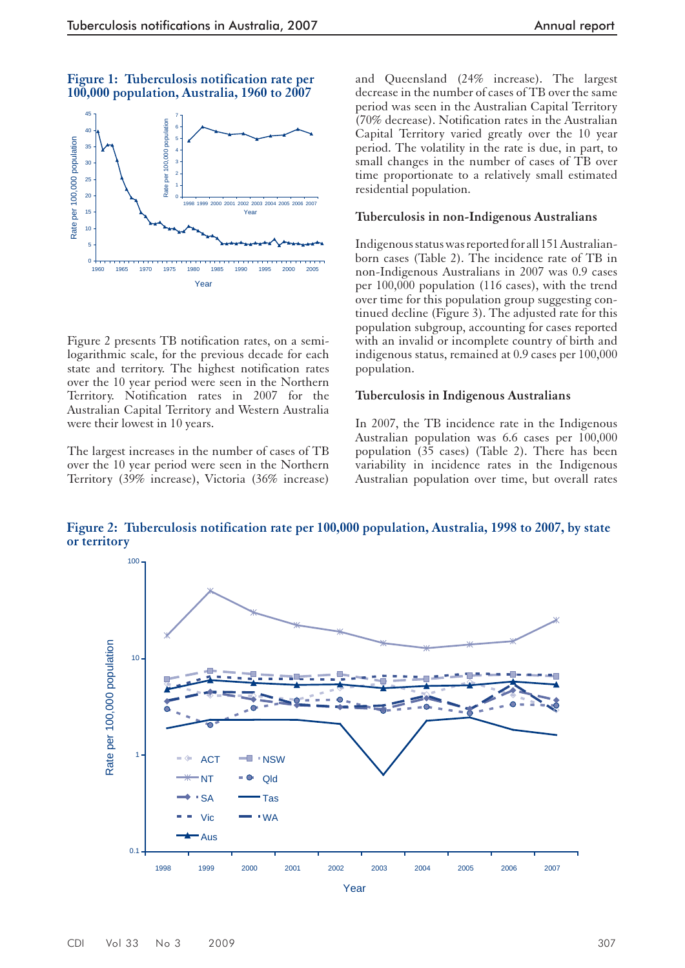**Figure 1: Tuberculosis notification rate per 100,000 population, Australia, 1960 to 2007**



Figure 2 presents TB notification rates, on a semilogarithmic scale, for the previous decade for each state and territory. The highest notification rates over the 10 year period were seen in the Northern Territory. Notification rates in 2007 for the Australian Capital Territory and Western Australia were their lowest in 10 years.

The largest increases in the number of cases of TB over the 10 year period were seen in the Northern Territory (39% increase), Victoria (36% increase)

and Queensland (24% increase). The largest decrease in the number of cases of TB over the same period was seen in the Australian Capital Territory (70% decrease). Notification rates in the Australian Capital Territory varied greatly over the 10 year period. The volatility in the rate is due, in part, to small changes in the number of cases of TB over time proportionate to a relatively small estimated residential population.

#### **Tuberculosis in non-Indigenous Australians**

Indigenous status was reported for all 151 Australianborn cases (Table 2). The incidence rate of TB in non-Indigenous Australians in 2007 was 0.9 cases per 100,000 population (116 cases), with the trend over time for this population group suggesting continued decline (Figure 3). The adjusted rate for this population subgroup, accounting for cases reported with an invalid or incomplete country of birth and indigenous status, remained at 0.9 cases per 100,000 population.

#### **Tuberculosis in Indigenous Australians**

In 2007, the TB incidence rate in the Indigenous Australian population was 6.6 cases per 100,000 population (35 cases) (Table 2). There has been variability in incidence rates in the Indigenous Australian population over time, but overall rates

Figure 2: Tuberculosis notification rate per 100,000 population, Australia, 1998 to 2007, by state **or territory**

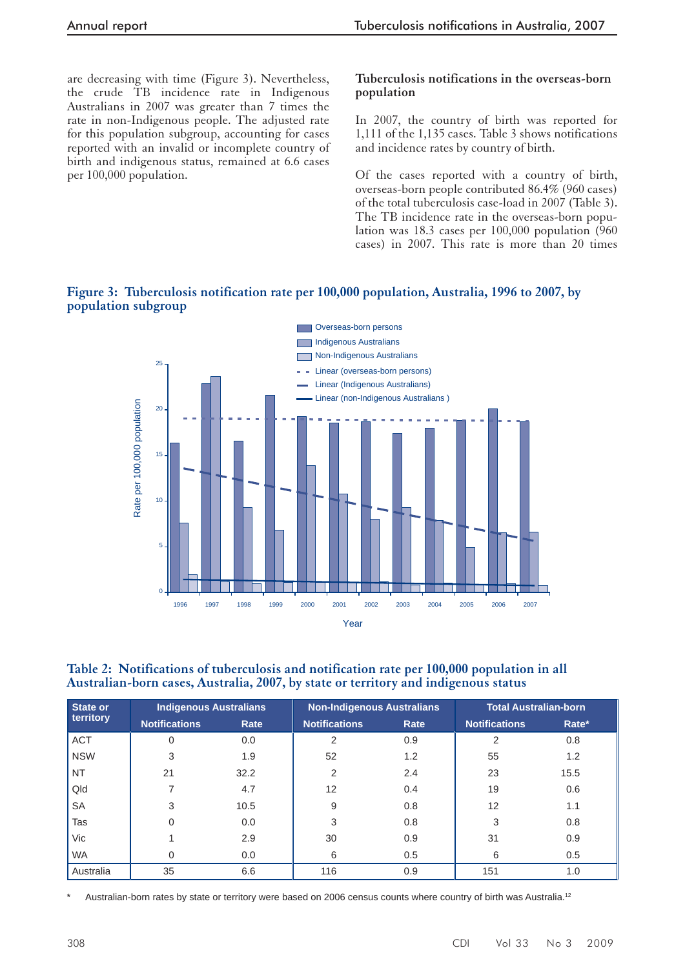are decreasing with time (Figure 3). Nevertheless, the crude TB incidence rate in Indigenous Australians in 2007 was greater than 7 times the rate in non-Indigenous people. The adjusted rate for this population subgroup, accounting for cases reported with an invalid or incomplete country of birth and indigenous status, remained at 6.6 cases per 100,000 population.

#### **Tuberculosis notifications in the overseas-born population**

In 2007, the country of birth was reported for 1,111 of the 1,135 cases. Table 3 shows notifications and incidence rates by country of birth.

Of the cases reported with a country of birth, overseas-born people contributed 86.4% (960 cases) of the total tuberculosis case-load in 2007 (Table 3). The TB incidence rate in the overseas-born population was 18.3 cases per 100,000 population (960 cases) in 2007. This rate is more than 20 times

# **Figure 3: Tuberculosis notification rate per 100,000 population, Australia, 1996 to 2007, by population subgroup**



#### **Table 2: Notifications of tuberculosis and notification rate per 100,000 population in all Australian-born cases, Australia, 2007, by state or territory and indigenous status**

| State or   | <b>Indigenous Australians</b> |      | <b>Non-Indigenous Australians</b> |      | <b>Total Australian-born</b> |       |  |
|------------|-------------------------------|------|-----------------------------------|------|------------------------------|-------|--|
| territory  | <b>Notifications</b>          | Rate | <b>Notifications</b>              | Rate | <b>Notifications</b>         | Rate* |  |
| <b>ACT</b> | 0                             | 0.0  | 2                                 | 0.9  | $\overline{2}$               | 0.8   |  |
| <b>NSW</b> | 3                             | 1.9  | 52                                | 1.2  | 55                           | 1.2   |  |
| <b>NT</b>  | 21                            | 32.2 | 2                                 | 2.4  | 23                           | 15.5  |  |
| Qld        |                               | 4.7  | $12 \overline{ }$                 | 0.4  | 19                           | 0.6   |  |
| <b>SA</b>  | 3                             | 10.5 | 9                                 | 0.8  | 12                           | 1.1   |  |
| Tas        | 0                             | 0.0  | 3                                 | 0.8  | 3                            | 0.8   |  |
| Vic        |                               | 2.9  | 30                                | 0.9  | 31                           | 0.9   |  |
| <b>WA</b>  |                               | 0.0  | 6                                 | 0.5  | 6                            | 0.5   |  |
| Australia  | 35                            | 6.6  | 116                               | 0.9  | 151                          | 1.0   |  |

Australian-born rates by state or territory were based on 2006 census counts where country of birth was Australia.<sup>12</sup>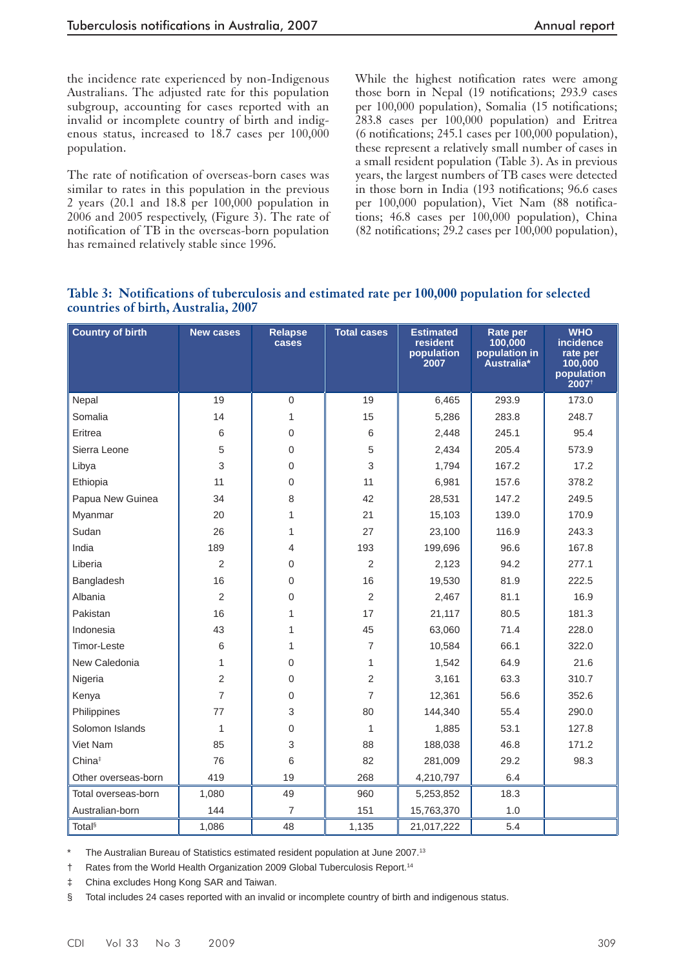the incidence rate experienced by non-Indigenous Australians. The adjusted rate for this population subgroup, accounting for cases reported with an invalid or incomplete country of birth and indigenous status, increased to 18.7 cases per 100,000 population.

The rate of notification of overseas-born cases was similar to rates in this population in the previous 2 years (20.1 and 18.8 per 100,000 population in 2006 and 2005 respectively, (Figure 3). The rate of notification of TB in the overseas-born population has remained relatively stable since 1996.

While the highest notification rates were among those born in Nepal (19 notifications; 293.9 cases per 100,000 population), Somalia (15 notifications; 283.8 cases per 100,000 population) and Eritrea (6 notifications; 245.1 cases per 100,000 population), these represent a relatively small number of cases in a small resident population (Table 3). As in previous years, the largest numbers of TB cases were detected in those born in India (193 notifications; 96.6 cases per 100,000 population), Viet Nam (88 notifications; 46.8 cases per 100,000 population), China (82 notifications; 29.2 cases per 100,000 population),

|                                     | Table 3: Notifications of tuberculosis and estimated rate per 100,000 population for selected |  |  |  |
|-------------------------------------|-----------------------------------------------------------------------------------------------|--|--|--|
| countries of birth, Australia, 2007 |                                                                                               |  |  |  |

| <b>Country of birth</b> | <b>New cases</b> | <b>Relapse</b><br>cases | <b>Total cases</b> | <b>Estimated</b><br>resident<br>population<br>2007 | Rate per<br>100,000<br>population in<br>Australia* | <b>WHO</b><br>incidence<br>rate per<br>100,000<br>population<br>2007 <sup>†</sup> |
|-------------------------|------------------|-------------------------|--------------------|----------------------------------------------------|----------------------------------------------------|-----------------------------------------------------------------------------------|
| Nepal                   | 19               | $\mathbf 0$             | 19                 | 6,465                                              | 293.9                                              | 173.0                                                                             |
| Somalia                 | 14               | 1                       | 15                 | 5,286                                              | 283.8                                              | 248.7                                                                             |
| Eritrea                 | 6                | $\mathsf{O}\xspace$     | $\,6$              | 2,448                                              | 245.1                                              | 95.4                                                                              |
| Sierra Leone            | 5                | $\mathbf 0$             | 5                  | 2,434                                              | 205.4                                              | 573.9                                                                             |
| Libya                   | 3                | $\mathbf 0$             | 3                  | 1,794                                              | 167.2                                              | 17.2                                                                              |
| Ethiopia                | 11               | $\boldsymbol{0}$        | 11                 | 6,981                                              | 157.6                                              | 378.2                                                                             |
| Papua New Guinea        | 34               | 8                       | 42                 | 28,531                                             | 147.2                                              | 249.5                                                                             |
| Myanmar                 | 20               | 1                       | 21                 | 15,103                                             | 139.0                                              | 170.9                                                                             |
| Sudan                   | 26               | 1                       | 27                 | 23,100                                             | 116.9                                              | 243.3                                                                             |
| India                   | 189              | 4                       | 193                | 199,696                                            | 96.6                                               | 167.8                                                                             |
| Liberia                 | $\overline{2}$   | $\mathbf 0$             | $\overline{2}$     | 2,123                                              | 94.2                                               | 277.1                                                                             |
| Bangladesh              | 16               | $\mathbf 0$             | 16                 | 19,530                                             | 81.9                                               | 222.5                                                                             |
| Albania                 | $\overline{2}$   | $\boldsymbol{0}$        | $\overline{2}$     | 2,467                                              | 81.1                                               | 16.9                                                                              |
| Pakistan                | 16               | 1                       | 17                 | 21,117                                             | 80.5                                               | 181.3                                                                             |
| Indonesia               | 43               | 1                       | 45                 | 63,060                                             | 71.4                                               | 228.0                                                                             |
| Timor-Leste             | 6                | 1                       | $\overline{7}$     | 10,584                                             | 66.1                                               | 322.0                                                                             |
| New Caledonia           | 1                | $\boldsymbol{0}$        | $\mathbf{1}$       | 1,542                                              | 64.9                                               | 21.6                                                                              |
| Nigeria                 | $\overline{2}$   | $\mathbf 0$             | $\overline{2}$     | 3,161                                              | 63.3                                               | 310.7                                                                             |
| Kenya                   | $\overline{7}$   | $\mathbf 0$             | $\overline{7}$     | 12,361                                             | 56.6                                               | 352.6                                                                             |
| Philippines             | 77               | 3                       | 80                 | 144,340                                            | 55.4                                               | 290.0                                                                             |
| Solomon Islands         | $\mathbf 1$      | $\mathbf 0$             | 1                  | 1,885                                              | 53.1                                               | 127.8                                                                             |
| Viet Nam                | 85               | 3                       | 88                 | 188,038                                            | 46.8                                               | 171.2                                                                             |
| $China^{\ddagger}$      | 76               | 6                       | 82                 | 281,009                                            | 29.2                                               | 98.3                                                                              |
| Other overseas-born     | 419              | 19                      | 268                | 4,210,797                                          | 6.4                                                |                                                                                   |
| Total overseas-born     | 1,080            | 49                      | 960                | 5,253,852                                          | 18.3                                               |                                                                                   |
| Australian-born         | 144              | $\overline{7}$          | 151                | 15,763,370                                         | 1.0                                                |                                                                                   |
| Total <sup>§</sup>      | 1,086            | 48                      | 1,135              | 21,017,222                                         | 5.4                                                |                                                                                   |

The Australian Bureau of Statistics estimated resident population at June 2007.<sup>13</sup>

† Rates from the World Health Organization 2009 Global Tuberculosis Report.14

‡ China excludes Hong Kong SAR and Taiwan.

§ Total includes 24 cases reported with an invalid or incomplete country of birth and indigenous status.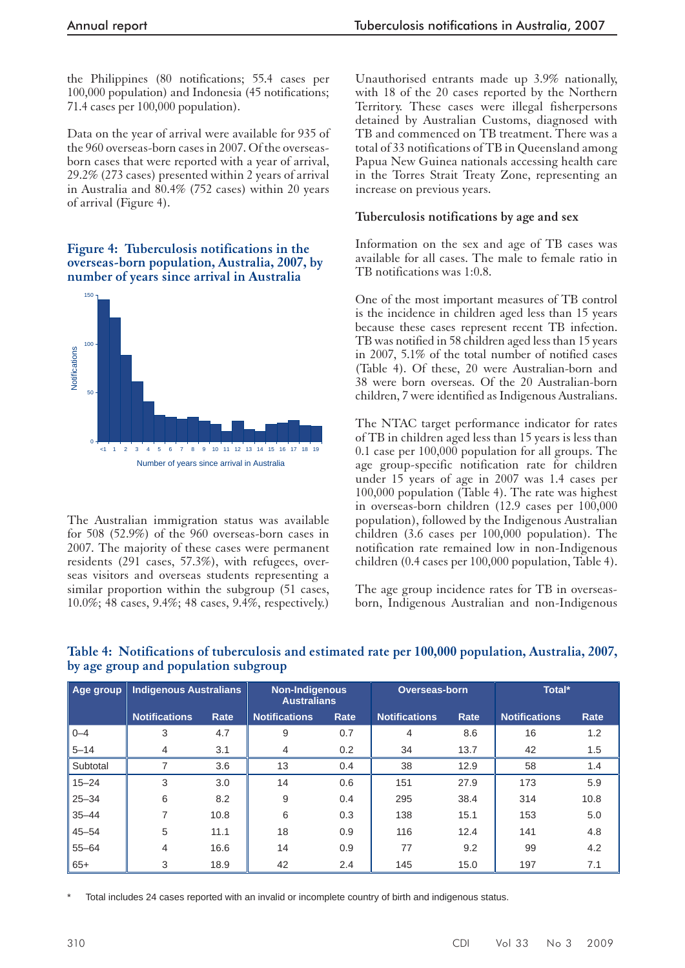the Philippines (80 notifications; 55.4 cases per 100,000 population) and Indonesia (45 notifications; 71.4 cases per 100,000 population).

Data on the year of arrival were available for 935 of the 960 overseas-born cases in 2007. Of the overseasborn cases that were reported with a year of arrival, 29.2% (273 cases) presented within 2 years of arrival in Australia and 80.4% (752 cases) within 20 years of arrival (Figure 4).

#### **Figure 4: Tuberculosis notifications in the overseas-born population, Australia, 2007, by number of years since arrival in Australia**



The Australian immigration status was available for 508 (52.9%) of the 960 overseas-born cases in 2007. The majority of these cases were permanent residents (291 cases, 57.3%), with refugees, overseas visitors and overseas students representing a similar proportion within the subgroup (51 cases, 10.0%; 48 cases, 9.4%; 48 cases, 9.4%, respectively.)

Unauthorised entrants made up 3.9% nationally, with 18 of the 20 cases reported by the Northern Territory. These cases were illegal fisherpersons detained by Australian Customs, diagnosed with TB and commenced on TB treatment. There was a total of 33 notifications of TB in Queensland among Papua New Guinea nationals accessing health care in the Torres Strait Treaty Zone, representing an increase on previous years.

#### **Tuberculosis notifications by age and sex**

Information on the sex and age of TB cases was available for all cases. The male to female ratio in TB notifications was 1:0.8.

One of the most important measures of TB control is the incidence in children aged less than 15 years because these cases represent recent TB infection. TB was notified in 58 children aged less than 15 years in 2007, 5.1% of the total number of notified cases (Table 4). Of these, 20 were Australian-born and 38 were born overseas. Of the 20 Australian-born children, 7 were identified as Indigenous Australians.

The NTAC target performance indicator for rates of TB in children aged less than 15 years is less than 0.1 case per 100,000 population for all groups. The age group-specific notification rate for children under 15 years of age in 2007 was 1.4 cases per 100,000 population (Table 4). The rate was highest in overseas-born children (12.9 cases per 100,000 population), followed by the Indigenous Australian children (3.6 cases per 100,000 population). The notification rate remained low in non-Indigenous children (0.4 cases per 100,000 population, Table 4).

The age group incidence rates for TB in overseasborn, Indigenous Australian and non-Indigenous

| Age group | <b>Indigenous Australians</b> |      | <b>Non-Indigenous</b><br><b>Australians</b> |      | <b>Overseas-born</b> |      | Total*               |      |
|-----------|-------------------------------|------|---------------------------------------------|------|----------------------|------|----------------------|------|
|           | <b>Notifications</b>          | Rate | <b>Notifications</b>                        | Rate | <b>Notifications</b> | Rate | <b>Notifications</b> | Rate |
| $0 - 4$   | 3                             | 4.7  | 9                                           | 0.7  | 4                    | 8.6  | 16                   | 1.2  |
| $5 - 14$  | $\overline{4}$                | 3.1  | 4                                           | 0.2  | 34                   | 13.7 | 42                   | 1.5  |
| Subtotal  |                               | 3.6  | 13                                          | 0.4  | 38                   | 12.9 | 58                   | 1.4  |
| $15 - 24$ | 3                             | 3.0  | 14                                          | 0.6  | 151                  | 27.9 | 173                  | 5.9  |
| $25 - 34$ | 6                             | 8.2  | 9                                           | 0.4  | 295                  | 38.4 | 314                  | 10.8 |
| $35 - 44$ |                               | 10.8 | 6                                           | 0.3  | 138                  | 15.1 | 153                  | 5.0  |
| $45 - 54$ | 5                             | 11.1 | 18                                          | 0.9  | 116                  | 12.4 | 141                  | 4.8  |
| $55 - 64$ | 4                             | 16.6 | 14                                          | 0.9  | 77                   | 9.2  | 99                   | 4.2  |
| $65+$     | 3                             | 18.9 | 42                                          | 2.4  | 145                  | 15.0 | 197                  | 7.1  |

**Table 4: Notifications of tuberculosis and estimated rate per 100,000 population, Australia, 2007, by age group and population subgroup**

Total includes 24 cases reported with an invalid or incomplete country of birth and indigenous status.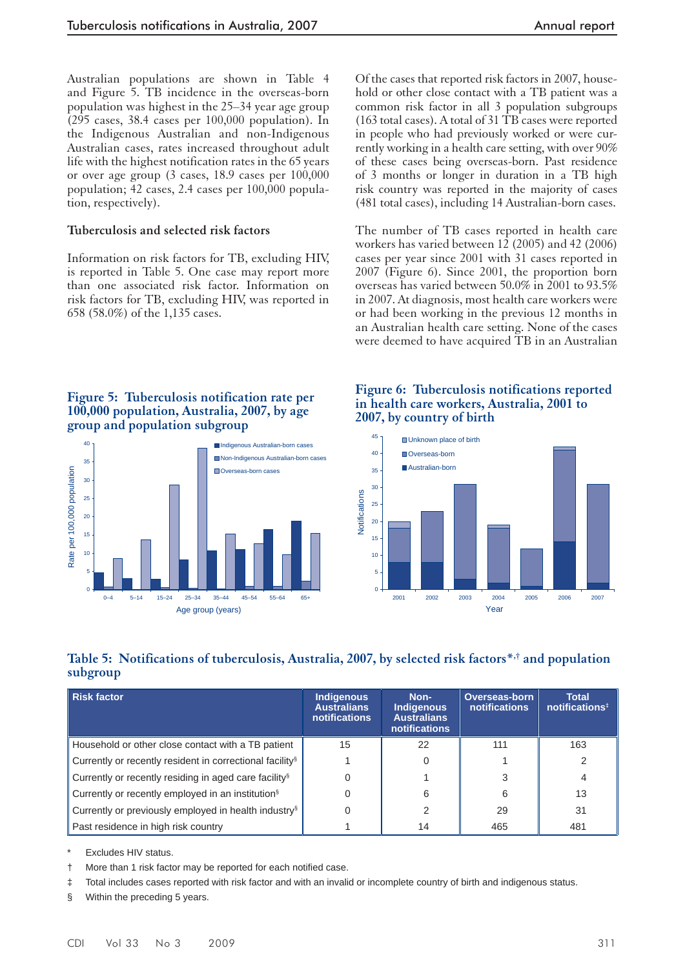Australian populations are shown in Table 4 and Figure 5. TB incidence in the overseas-born population was highest in the 25–34 year age group (295 cases, 38.4 cases per 100,000 population). In the Indigenous Australian and non-Indigenous Australian cases, rates increased throughout adult life with the highest notification rates in the 65 years or over age group (3 cases, 18.9 cases per 100,000 population; 42 cases, 2.4 cases per 100,000 population, respectively).

#### **Tuberculosis and selected risk factors**

Information on risk factors for TB, excluding HIV, is reported in Table 5. One case may report more than one associated risk factor. Information on risk factors for TB, excluding HIV, was reported in 658 (58.0%) of the 1,135 cases.

Of the cases that reported risk factors in 2007, household or other close contact with a TB patient was a common risk factor in all 3 population subgroups (163 total cases). A total of 31 TB cases were reported in people who had previously worked or were currently working in a health care setting, with over 90% of these cases being overseas-born. Past residence of 3 months or longer in duration in a TB high risk country was reported in the majority of cases (481 total cases), including 14 Australian-born cases.

The number of TB cases reported in health care workers has varied between 12 (2005) and 42 (2006) cases per year since 2001 with 31 cases reported in 2007 (Figure 6). Since 2001, the proportion born overseas has varied between 50.0% in 2001 to 93.5% in 2007. At diagnosis, most health care workers were or had been working in the previous 12 months in an Australian health care setting. None of the cases were deemed to have acquired TB in an Australian

#### **Figure 5: Tuberculosis notification rate per 100,000 population, Australia, 2007, by age group and population subgroup**



#### **Figure 6: Tuberculosis notifications reported in health care workers, Australia, 2001 to 2007, by country of birth**



# **Table 5: Notifications of tuberculosis, Australia, 2007, by selected risk factors\*,† and population subgroup**

| Risk factor                                                          | <b>Indigenous</b><br><b>Australians</b><br>notifications | Non-<br><b>Indigenous</b><br><b>Australians</b><br><b>notifications</b> | <b>Overseas-born</b><br>notifications | <b>Total</b><br>notifications <sup>#</sup> |
|----------------------------------------------------------------------|----------------------------------------------------------|-------------------------------------------------------------------------|---------------------------------------|--------------------------------------------|
| Household or other close contact with a TB patient                   | 15                                                       | 22                                                                      | 111                                   | 163                                        |
| Currently or recently resident in correctional facility <sup>§</sup> |                                                          |                                                                         |                                       |                                            |
| Currently or recently residing in aged care facility <sup>§</sup>    |                                                          |                                                                         |                                       |                                            |
| Currently or recently employed in an institution <sup>§</sup>        |                                                          | 6                                                                       | 6                                     | 13                                         |
| Currently or previously employed in health industry <sup>§</sup>     |                                                          |                                                                         | 29                                    | 31                                         |
| Past residence in high risk country                                  |                                                          | 14                                                                      | 465                                   | 481                                        |

Excludes HIV status.

<sup>†</sup> More than 1 risk factor may be reported for each notified case.

‡ Total includes cases reported with risk factor and with an invalid or incomplete country of birth and indigenous status.

§ Within the preceding 5 years.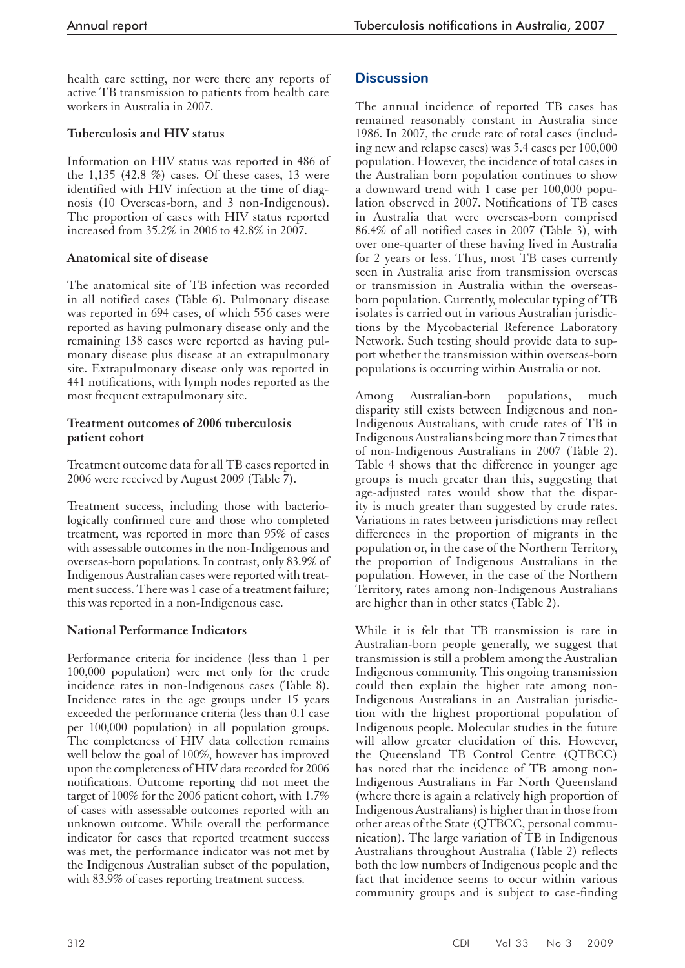health care setting, nor were there any reports of active TB transmission to patients from health care workers in Australia in 2007.

# **Tuberculosis and HIV status**

Information on HIV status was reported in 486 of the 1,135 (42.8 %) cases. Of these cases, 13 were identified with HIV infection at the time of diagnosis (10 Overseas-born, and 3 non-Indigenous). The proportion of cases with HIV status reported increased from 35.2% in 2006 to 42.8% in 2007.

# **Anatomical site of disease**

The anatomical site of TB infection was recorded in all notified cases (Table 6). Pulmonary disease was reported in 694 cases, of which 556 cases were reported as having pulmonary disease only and the remaining 138 cases were reported as having pulmonary disease plus disease at an extrapulmonary site. Extrapulmonary disease only was reported in 441 notifications, with lymph nodes reported as the most frequent extrapulmonary site.

#### **Treatment outcomes of 2006 tuberculosis patient cohort**

Treatment outcome data for all TB cases reported in 2006 were received by August 2009 (Table 7).

Treatment success, including those with bacteriologically confirmed cure and those who completed treatment, was reported in more than 95% of cases with assessable outcomes in the non-Indigenous and overseas-born populations. In contrast, only 83.9% of Indigenous Australian cases were reported with treatment success. There was 1 case of a treatment failure; this was reported in a non-Indigenous case.

# **National Performance Indicators**

Performance criteria for incidence (less than 1 per 100,000 population) were met only for the crude incidence rates in non-Indigenous cases (Table 8). Incidence rates in the age groups under 15 years exceeded the performance criteria (less than 0.1 case per 100,000 population) in all population groups. The completeness of HIV data collection remains well below the goal of 100%, however has improved upon the completeness of HIV data recorded for 2006 notifications. Outcome reporting did not meet the target of 100% for the 2006 patient cohort, with 1.7% of cases with assessable outcomes reported with an unknown outcome. While overall the performance indicator for cases that reported treatment success was met, the performance indicator was not met by the Indigenous Australian subset of the population, with 83.9% of cases reporting treatment success.

# **Discussion**

The annual incidence of reported TB cases has remained reasonably constant in Australia since 1986. In 2007, the crude rate of total cases (including new and relapse cases) was 5.4 cases per 100,000 population. However, the incidence of total cases in the Australian born population continues to show a downward trend with 1 case per 100,000 population observed in 2007. Notifications of TB cases in Australia that were overseas-born comprised 86.4% of all notified cases in 2007 (Table 3), with over one-quarter of these having lived in Australia for 2 years or less. Thus, most TB cases currently seen in Australia arise from transmission overseas or transmission in Australia within the overseasborn population. Currently, molecular typing of TB isolates is carried out in various Australian jurisdictions by the Mycobacterial Reference Laboratory Network. Such testing should provide data to support whether the transmission within overseas-born populations is occurring within Australia or not.

Among Australian-born populations, much disparity still exists between Indigenous and non-Indigenous Australians, with crude rates of TB in Indigenous Australians being more than 7 times that of non-Indigenous Australians in 2007 (Table 2). Table 4 shows that the difference in younger age groups is much greater than this, suggesting that age-adjusted rates would show that the disparity is much greater than suggested by crude rates. Variations in rates between jurisdictions may reflect differences in the proportion of migrants in the population or, in the case of the Northern Territory, the proportion of Indigenous Australians in the population. However, in the case of the Northern Territory, rates among non-Indigenous Australians are higher than in other states (Table 2).

While it is felt that TB transmission is rare in Australian-born people generally, we suggest that transmission is still a problem among the Australian Indigenous community. This ongoing transmission could then explain the higher rate among non-Indigenous Australians in an Australian jurisdiction with the highest proportional population of Indigenous people. Molecular studies in the future will allow greater elucidation of this. However, the Queensland TB Control Centre (QTBCC) has noted that the incidence of TB among non-Indigenous Australians in Far North Queensland (where there is again a relatively high proportion of Indigenous Australians) is higher than in those from other areas of the State (QTBCC, personal communication). The large variation of TB in Indigenous Australians throughout Australia (Table 2) reflects both the low numbers of Indigenous people and the fact that incidence seems to occur within various community groups and is subject to case-finding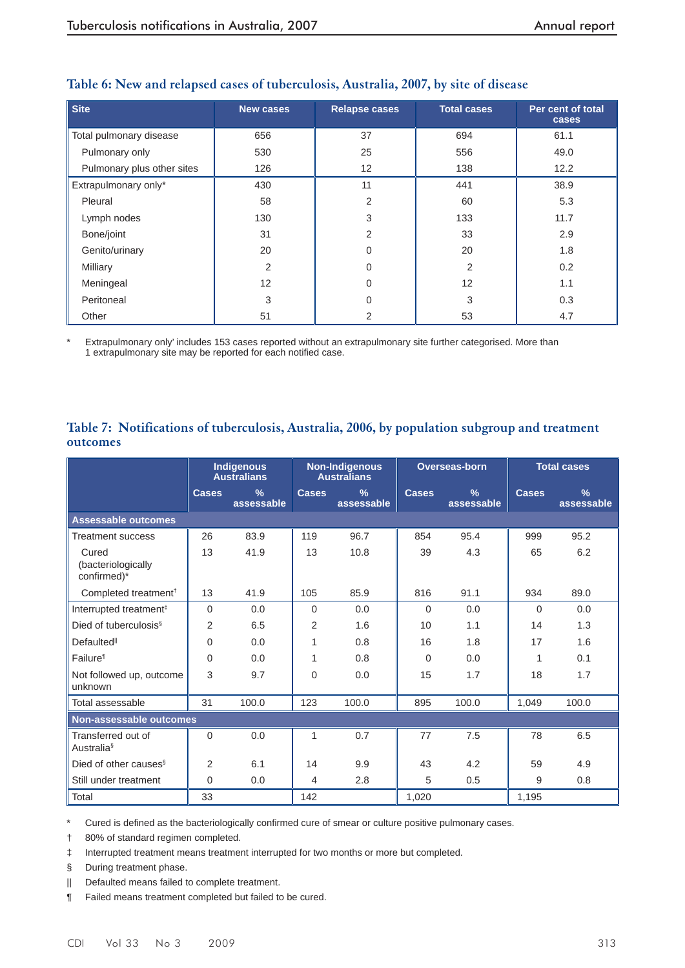| <b>Site</b>                | <b>New cases</b> | <b>Relapse cases</b> | <b>Total cases</b> | Per cent of total<br>cases |
|----------------------------|------------------|----------------------|--------------------|----------------------------|
| Total pulmonary disease    | 656              | 37                   | 694                | 61.1                       |
| Pulmonary only             | 530              | 25                   | 556                | 49.0                       |
| Pulmonary plus other sites | 126              | 12                   | 138                | 12.2                       |
| Extrapulmonary only*       | 430              | 11                   | 441                | 38.9                       |
| Pleural                    | 58               | 2                    | 60                 | 5.3                        |
| Lymph nodes                | 130              | 3                    | 133                | 11.7                       |
| Bone/joint                 | 31               | 2                    | 33                 | 2.9                        |
| Genito/urinary             | 20               | 0                    | 20                 | 1.8                        |
| Milliary                   | $\overline{2}$   | $\Omega$             | $\overline{2}$     | 0.2                        |
| Meningeal                  | 12               | $\Omega$             | 12                 | 1.1                        |
| Peritoneal                 | 3                | $\Omega$             | 3                  | 0.3                        |
| Other                      | 51               | 2                    | 53                 | 4.7                        |

# **Table 6: New and relapsed cases of tuberculosis, Australia, 2007, by site of disease**

Extrapulmonary only' includes 153 cases reported without an extrapulmonary site further categorised. More than 1 extrapulmonary site may be reported for each notified case.

# **Table 7: Notifications of tuberculosis, Australia, 2006, by population subgroup and treatment outcomes**

|                                            | Indigenous<br><b>Australians</b> |                             |                | <b>Non-Indigenous</b><br><b>Australians</b> |              | Overseas-born               |              | <b>Total cases</b>          |  |
|--------------------------------------------|----------------------------------|-----------------------------|----------------|---------------------------------------------|--------------|-----------------------------|--------------|-----------------------------|--|
|                                            | <b>Cases</b>                     | $\frac{9}{6}$<br>assessable | <b>Cases</b>   | $\frac{9}{6}$<br>assessable                 | <b>Cases</b> | $\frac{9}{6}$<br>assessable | <b>Cases</b> | $\frac{9}{6}$<br>assessable |  |
| <b>Assessable outcomes</b>                 |                                  |                             |                |                                             |              |                             |              |                             |  |
| <b>Treatment success</b>                   | 26                               | 83.9                        | 119            | 96.7                                        | 854          | 95.4                        | 999          | 95.2                        |  |
| Cured<br>(bacteriologically<br>confirmed)* | 13                               | 41.9                        | 13             | 10.8                                        | 39           | 4.3                         | 65           | 6.2                         |  |
| Completed treatment <sup>†</sup>           | 13                               | 41.9                        | 105            | 85.9                                        | 816          | 91.1                        | 934          | 89.0                        |  |
| Interrupted treatment <sup>#</sup>         | $\Omega$                         | 0.0                         | $\Omega$       | 0.0                                         | $\Omega$     | 0.0                         | $\Omega$     | 0.0                         |  |
| Died of tuberculosis <sup>§</sup>          | 2                                | 6.5                         | 2              | 1.6                                         | 10           | 1.1                         | 14           | 1.3                         |  |
| <b>Defaulted</b> <sup>II</sup>             | $\Omega$                         | 0.0                         | 1              | 0.8                                         | 16           | 1.8                         | 17           | 1.6                         |  |
| Failure <sup>®</sup>                       | $\Omega$                         | 0.0                         | 1              | 0.8                                         | $\Omega$     | 0.0                         | 1            | 0.1                         |  |
| Not followed up, outcome<br>unknown        | 3                                | 9.7                         | $\Omega$       | 0.0                                         | 15           | 1.7                         | 18           | 1.7                         |  |
| Total assessable                           | 31                               | 100.0                       | 123            | 100.0                                       | 895          | 100.0                       | 1,049        | 100.0                       |  |
| Non-assessable outcomes                    |                                  |                             |                |                                             |              |                             |              |                             |  |
| Transferred out of<br><b>Australia</b> §   | 0                                | 0.0                         | 1              | 0.7                                         | 77           | 7.5                         | 78           | 6.5                         |  |
| Died of other causes <sup>§</sup>          | 2                                | 6.1                         | 14             | 9.9                                         | 43           | 4.2                         | 59           | 4.9                         |  |
| Still under treatment                      | $\Omega$                         | 0.0                         | $\overline{4}$ | 2.8                                         | 5            | 0.5                         | 9            | 0.8                         |  |
| Total                                      | 33                               |                             | 142            |                                             | 1,020        |                             | 1,195        |                             |  |

\* Cured is defined as the bacteriologically confirmed cure of smear or culture positive pulmonary cases.

† 80% of standard regimen completed.

‡ Interrupted treatment means treatment interrupted for two months or more but completed.

§ During treatment phase.

|| Defaulted means failed to complete treatment.

¶ Failed means treatment completed but failed to be cured.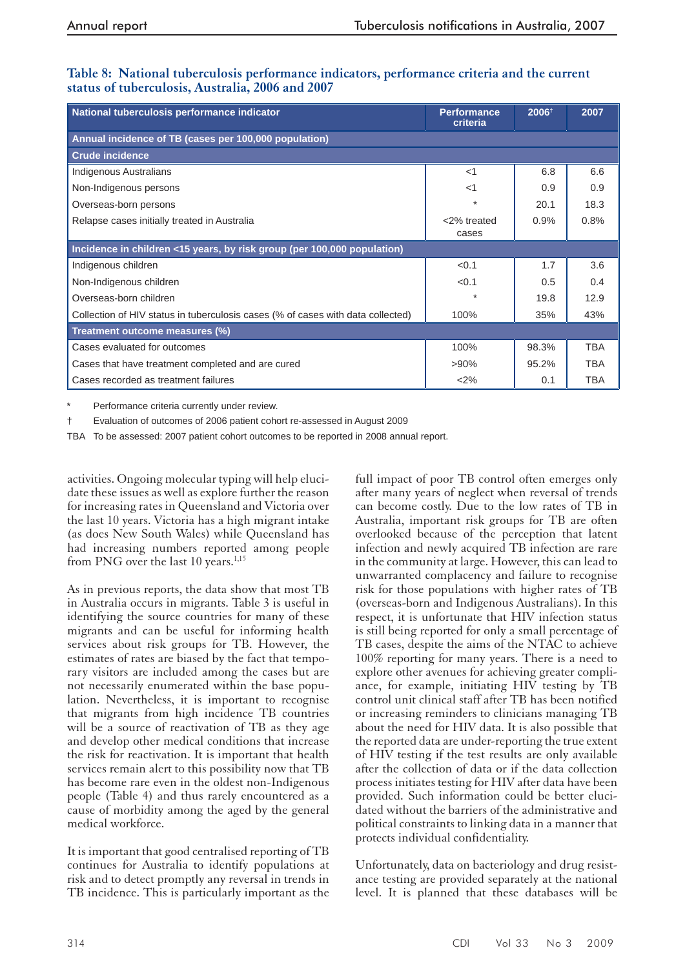| National tuberculosis performance indicator                                     | <b>Performance</b><br>criteria | 2006+ | 2007       |
|---------------------------------------------------------------------------------|--------------------------------|-------|------------|
| Annual incidence of TB (cases per 100,000 population)                           |                                |       |            |
| <b>Crude incidence</b>                                                          |                                |       |            |
| <b>Indigenous Australians</b>                                                   | $<$ 1                          | 6.8   | 6.6        |
| Non-Indigenous persons                                                          | $<$ 1                          | 0.9   | 0.9        |
| Overseas-born persons                                                           | $\star$                        | 20.1  | 18.3       |
| Relapse cases initially treated in Australia                                    | <2% treated<br>cases           | 0.9%  | 0.8%       |
| Incidence in children <15 years, by risk group (per 100,000 population)         |                                |       |            |
| Indigenous children                                                             | < 0.1                          | 1.7   | 3.6        |
| Non-Indigenous children                                                         | < 0.1                          | 0.5   | 0.4        |
| Overseas-born children                                                          | ÷                              | 19.8  | 12.9       |
| Collection of HIV status in tuberculosis cases (% of cases with data collected) | 100%                           | 35%   | 43%        |
| Treatment outcome measures (%)                                                  |                                |       |            |
| Cases evaluated for outcomes                                                    | 100%                           | 98.3% | <b>TBA</b> |
| Cases that have treatment completed and are cured                               | $>90\%$                        | 95.2% | <b>TBA</b> |
| Cases recorded as treatment failures                                            | <2%                            | 0.1   | <b>TBA</b> |

#### **Table 8: National tuberculosis performance indicators, performance criteria and the current status of tuberculosis, Australia, 2006 and 2007**

Performance criteria currently under review.

† Evaluation of outcomes of 2006 patient cohort re-assessed in August 2009

TBA To be assessed: 2007 patient cohort outcomes to be reported in 2008 annual report.

activities. Ongoing molecular typing will help elucidate these issues as well as explore further the reason for increasing rates in Queensland and Victoria over the last 10 years. Victoria has a high migrant intake (as does New South Wales) while Queensland has had increasing numbers reported among people from PNG over the last 10 years. $1,15$ 

As in previous reports, the data show that most TB in Australia occurs in migrants. Table 3 is useful in identifying the source countries for many of these migrants and can be useful for informing health services about risk groups for TB. However, the estimates of rates are biased by the fact that temporary visitors are included among the cases but are not necessarily enumerated within the base population. Nevertheless, it is important to recognise that migrants from high incidence TB countries will be a source of reactivation of TB as they age and develop other medical conditions that increase the risk for reactivation. It is important that health services remain alert to this possibility now that TB has become rare even in the oldest non-Indigenous people (Table 4) and thus rarely encountered as a cause of morbidity among the aged by the general medical workforce.

It is important that good centralised reporting of TB continues for Australia to identify populations at risk and to detect promptly any reversal in trends in TB incidence. This is particularly important as the

full impact of poor TB control often emerges only after many years of neglect when reversal of trends can become costly. Due to the low rates of TB in Australia, important risk groups for TB are often overlooked because of the perception that latent infection and newly acquired TB infection are rare in the community at large. However, this can lead to unwarranted complacency and failure to recognise risk for those populations with higher rates of TB (overseas-born and Indigenous Australians). In this respect, it is unfortunate that HIV infection status is still being reported for only a small percentage of TB cases, despite the aims of the NTAC to achieve 100% reporting for many years. There is a need to explore other avenues for achieving greater compliance, for example, initiating HIV testing by TB control unit clinical staff after TB has been notified or increasing reminders to clinicians managing TB about the need for HIV data. It is also possible that the reported data are under-reporting the true extent of HIV testing if the test results are only available after the collection of data or if the data collection process initiates testing for HIV after data have been provided. Such information could be better elucidated without the barriers of the administrative and political constraints to linking data in a manner that protects individual confidentiality.

Unfortunately, data on bacteriology and drug resistance testing are provided separately at the national level. It is planned that these databases will be